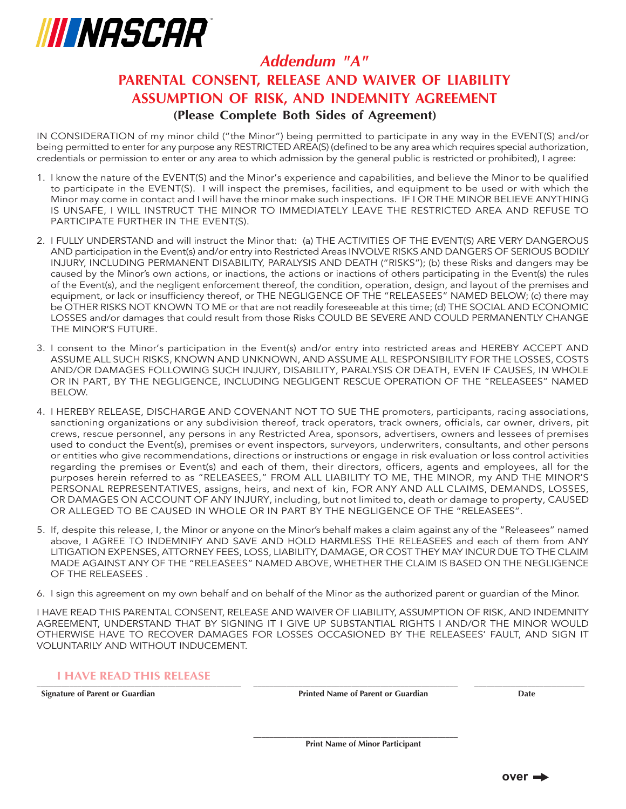

### **(Please Complete Both Sides of Agreement)** *Addendum "A"* **PARENTAL CONSENT, RELEASE AND WAIVER OF LIABILITY ASSUMPTION OF RISK, AND INDEMNITY AGREEMENT**

IN CONSIDERATION of my minor child ("the Minor") being permitted to participate in any way in the EVENT(S) and/or being permitted to enter for any purpose any RESTRICTED AREA(S) (defined to be any area which requires special authorization, credentials or permission to enter or any area to which admission by the general public is restricted or prohibited), I agree:

- 1. I know the nature of the EVENT(S) and the Minor's experience and capabilities, and believe the Minor to be qualified to participate in the EVENT(S). I will inspect the premises, facilities, and equipment to be used or with which the Minor may come in contact and I will have the minor make such inspections. IF I OR THE MINOR BELIEVE ANYTHING IS UNSAFE, I WILL INSTRUCT THE MINOR TO IMMEDIATELY LEAVE THE RESTRICTED AREA AND REFUSE TO PARTICIPATE FURTHER IN THE EVENT(S).
- 2. I FULLY UNDERSTAND and will instruct the Minor that: (a) THE ACTIVITIES OF THE EVENT(S) ARE VERY DANGEROUS AND participation in the Event(s) and/or entry into Restricted Areas INVOLVE RISKS AND DANGERS OF SERIOUS BODILY INJURY, INCLUDING PERMANENT DISABILITY, PARALYSIS AND DEATH ("RISKS"); (b) these Risks and dangers may be caused by the Minor's own actions, or inactions, the actions or inactions of others participating in the Event(s) the rules of the Event(s), and the negligent enforcement thereof, the condition, operation, design, and layout of the premises and equipment, or lack or insufficiency thereof, or THE NEGLIGENCE OF THE "RELEASEES" NAMED BELOW; (c) there may be OTHER RISKS NOT KNOWN TO ME or that are not readily foreseeable at this time; (d) THE SOCIAL AND ECONOMIC LOSSES and/or damages that could result from those Risks COULD BE SEVERE AND COULD PERMANENTLY CHANGE THE MINOR'S FUTURE.
- 3. I consent to the Minor's participation in the Event(s) and/or entry into restricted areas and HEREBY ACCEPT AND ASSUME ALL SUCH RISKS, KNOWN AND UNKNOWN, AND ASSUME ALL RESPONSIBILITY FOR THE LOSSES, COSTS AND/OR DAMAGES FOLLOWING SUCH INJURY, DISABILITY, PARALYSIS OR DEATH, EVEN IF CAUSES, IN WHOLE OR IN PART, BY THE NEGLIGENCE, INCLUDING NEGLIGENT RESCUE OPERATION OF THE "RELEASEES" NAMED BELOW.
- 4. I HEREBY RELEASE, DISCHARGE AND COVENANT NOT TO SUE THE promoters, participants, racing associations, sanctioning organizations or any subdivision thereof, track operators, track owners, officials, car owner, drivers, pit crews, rescue personnel, any persons in any Restricted Area, sponsors, advertisers, owners and lessees of premises used to conduct the Event(s), premises or event inspectors, surveyors, underwriters, consultants, and other persons or entities who give recommendations, directions or instructions or engage in risk evaluation or loss control activities regarding the premises or Event(s) and each of them, their directors, officers, agents and employees, all for the purposes herein referred to as "RELEASEES," FROM ALL LIABILITY TO ME, THE MINOR, my AND THE MINOR'S PERSONAL REPRESENTATIVES, assigns, heirs, and next of kin, FOR ANY AND ALL CLAIMS, DEMANDS, LOSSES, OR DAMAGES ON ACCOUNT OF ANY INJURY, including, but not limited to, death or damage to property, CAUSED OR ALLEGED TO BE CAUSED IN WHOLE OR IN PART BY THE NEGLIGENCE OF THE "RELEASEES".
- 5. If, despite this release, I, the Minor or anyone on the Minor's behalf makes a claim against any of the "Releasees" named above, I AGREE TO INDEMNIFY AND SAVE AND HOLD HARMLESS THE RELEASEES and each of them from ANY LITIGATION EXPENSES, ATTORNEY FEES, LOSS, LIABILITY, DAMAGE, OR COST THEY MAY INCUR DUE TO THE CLAIM MADE AGAINST ANY OF THE "RELEASEES" NAMED ABOVE, WHETHER THE CLAIM IS BASED ON THE NEGLIGENCE OF THE RELEASEES .
- 6. I sign this agreement on my own behalf and on behalf of the Minor as the authorized parent or guardian of the Minor.

I HAVE READ THIS PARENTAL CONSENT, RELEASE AND WAIVER OF LIABILITY, ASSUMPTION OF RISK, AND INDEMNITY AGREEMENT, UNDERSTAND THAT BY SIGNING IT I GIVE UP SUBSTANTIAL RIGHTS I AND/OR THE MINOR WOULD OTHERWISE HAVE TO RECOVER DAMAGES FOR LOSSES OCCASIONED BY THE RELEASEES' FAULT, AND SIGN IT VOLUNTARILY AND WITHOUT INDUCEMENT.

**\_\_\_\_\_\_\_\_\_\_\_\_\_\_\_\_\_\_\_\_\_\_\_\_\_\_\_\_\_\_\_\_\_\_\_\_\_\_\_\_\_\_\_\_\_\_\_\_\_\_ \_\_\_\_\_\_\_\_\_\_\_\_\_\_\_\_\_\_\_\_\_\_\_\_\_\_\_\_\_\_\_\_\_\_\_\_\_\_\_\_\_\_\_\_\_\_\_\_\_\_**

#### **\_\_\_\_\_\_\_\_\_\_\_\_\_\_\_\_\_\_\_\_\_\_\_\_\_\_\_\_\_\_\_\_\_\_\_\_\_\_\_\_\_\_\_\_\_\_\_\_\_\_ \_\_\_\_\_\_\_\_\_\_\_\_\_\_\_\_\_\_\_\_\_\_\_\_\_\_\_\_\_\_\_\_\_\_\_\_\_\_\_\_\_\_\_\_\_\_\_\_\_\_ \_\_\_\_\_\_\_\_\_\_\_\_\_\_\_\_\_\_\_\_\_\_\_\_\_\_\_ I HAVE READ THIS RELEASE**

**Signature of Parent or Guardian Printed Name of Parent or Guardian Date**

**Print Name of Minor Participant**

**over**